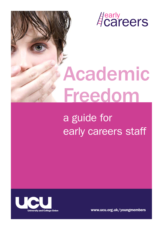**A**careers

# Academic Freedom

## a guide for early careers staff



www.ucu.org.uk/youngmembers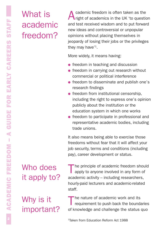#### What is academic freedom?

A cademic freedom is often taken as the<br>
right of academics in the UK 'to question and test received wisdom and to put forward new ideas and controversial or unpopular opinions without placing themselves in jeopardy of losing their jobs or the privileges they may have<sup>'1</sup>.

More widely, it means having:

- $\bullet$  freedom in teaching and discussion
- $\bullet$  freedom in carrying out research without commercial or political interference
- $\bullet$  freedom to disseminate and publish one's research findings
- $\bullet$  freedom from institutional censorship, including the right to express one's opinion publicly about the institution or the education system in which one works
- $\bullet$  freedom to participate in professional and representative academic bodies, including trade unions.

It also means being able to exercise those freedoms without fear that it will affect your job security, terms and conditions (including pay), career development or status.

#### Who does it apply to?

Why is it

important?

The principle of academic freedom should<br>apply to anyone involved in any form of academic activity – including researchers, hourly-paid lecturers and academic-related staff.

The nature of academic work and its requirement to push back the boundaries of knowledge and challenge the status quo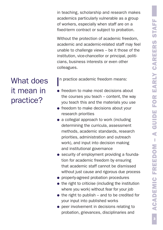in teaching, scholarship and research makes academics particularly vulnerable as a group of workers, especially when staff are on a fixed-term contract or subject to probation.

Without the protection of academic freedom, academic and academic-related staff may feel unable to challenge views – be it those of the institution, vice-chancellor or principal, politicians, business interests or even other colleagues.

I n practice academic freedom means:

- $\bullet$  freedom to make most decisions about the courses you teach – content, the way you teach this and the materials you use
- $\bullet$  freedom to make decisions about your research priorities
- $\bullet$  a collegial approach to work (including determining the curricula, assessment methods, academic standards, research priorities, administration and outreach work), and input into decision making and institutional governance
- **.** security of employment providing a foundation for academic freedom by ensuring that academic staff cannot be dismissed without just cause and rigorous due process
- properly-agreed probation procedures
- $\bullet$  the right to criticise (including the institution where you work) without fear for your job
- $\bullet$  the right to publish and to be credited for your input into published works
- $\bullet$  peer involvement in decisions relating to probation, grievances, disciplinaries and

#### What does it mean in practice?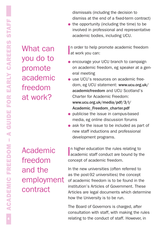What can you do to promote academic freedom at work?

dismissals (including the decision to dismiss at the end of a fixed-term contract)

 $\bullet$  the opportunity (including the time) to be involved in professional and representative academic bodies, including UCU.

In order to help p<br>at work you can: n order to help promote academic freedom

- **.** encourage your UCU branch to campaign on academic freedom, eg speaker at a general meeting
- **.** use UCU's resources on academic freedom, eg UCU statement: www.ucu.org.uk/ academicfreedom and UCU Scotland's Charter for Academic Freedom: www.ucu.org.uk/media/pdf/3/l/ Academic\_Freedom\_charter.pdf
- $\bullet$  publicise the issue in campus-based media, eg online discussion forums
- $\bullet$  ask for the issue to be included as part of new staff inductions and professional development programs.

In higher education the rules relating to<br>academic staff conduct are bound by the academic staff conduct are bound by the concept of academic freedom.

In the new universities (often referred to as the post-92 universities) the concept of academic freedom is to be found in the institution's Articles of Government. These Articles are legal documents which determine how the University is to be run.

The Board of Governors is charged, after consultation with staff, with making the rules relating to the conduct of staff. However, in

Academic freedom and the employment contract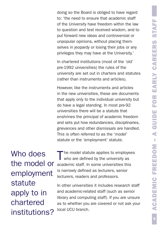doing so the Board is obliged to have regard to: 'the need to ensure that academic staff of the University have freedom within the law to question and test received wisdom, and to put forward new ideas and controversial or unpopular opinions, without placing themselves in jeopardy or losing their jobs or any privileges they may have at the University.'

In chartered institutions (most of the 'old' pre-1992 universities) the rules of the university are set out in charters and statutes (rather than instruments and articles).

However, like the instruments and articles in the new universities, these are documents that apply only to the individual university but do have a legal standing. In most pre-92 universities there will be a statute that enshrines the principal of academic freedom and sets put how redundancies, disciplinaries, grievances and other dismissals are handled. This is often referred to as the 'model' statute or the 'employment' statute.

Who does the model or employment statute apply to in chartered institutions?

The model statute applies to employees who are defined by the university as academic staff. In some universities this is narrowly defined as lecturers, senior lecturers, readers and professors.

In other universities it includes research staff and academic-related staff (such as senior library and computing staff). If you are unsure as to whether you are covered or not ask your local UCU branch.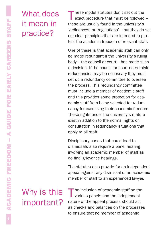#### What does it mean in practice?

These model statutes don't set out the<br>
exact procedure that must be followed – these are usually found in the university's 'ordinances' or 'regulations' – but they do set out clear principles that are intended to protect the academic freedom of relevant staff.

One of these is that academic staff can only be made redundant if the university's ruling body – the council or court – has made such a decision. If the council or court does think redundancies may be necessary they must set up a redundancy committee to oversee the process. This redundancy committee must include a member of academic staff and this provides some protection for academic staff from being selected for redundancy for exercising their academic freedom. These rights under the university's statute exist in addition to the normal rights on consultation in redundancy situations that apply to all staff.

Disciplinary cases that could lead to dismissals also require a panel hearing involving an academic member of staff as do final grievance hearings.

The statutes also provide for an independent appeal against any dismissal of an academic member of staff to an experienced lawyer.

### Why is this important?

The inclusion of academic staff on the<br>various panels and the independent nature of the appeal process should act as checks and balances on the processes to ensure that no member of academic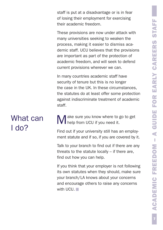staff is put at a disadvantage or is in fear of losing their employment for exercising their academic freedom.

These provisions are now under attack with many universities seeking to weaken the process, making it easier to dismiss academic staff. UCU believes that the provisions are important as part of the protection of academic freedom, and will seek to defend current provisions wherever we can.

In many countries academic staff have security of tenure but this is no longer the case in the UK. In these circumstances, the statutes do at least offer some protection against indiscriminate treatment of academic staff.

#### What can I do?

ake sure you know where to go to get help from UCU if you need it.

Find out if your university still has an employment statute and if so, if you are covered by it.

Talk to your branch to find out if there are any threats to the statute locally – if there are, find out how you can help.

If you think that your employer is not following its own statutes when they should, make sure your branch/LA knows about your concerns and encourage others to raise any concerns with UCU.